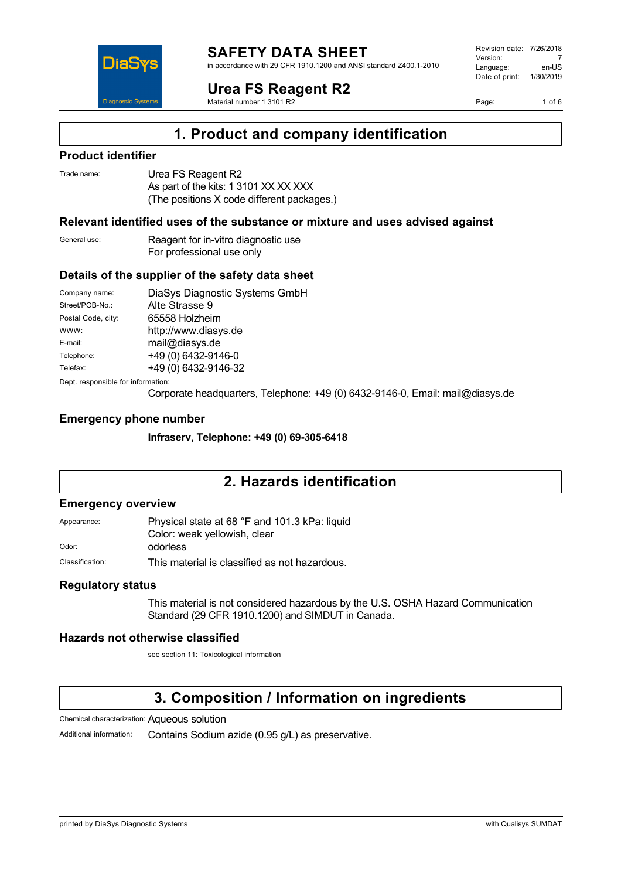

in accordance with 29 CFR 1910.1200 and ANSI standard Z400.1-2010

**Urea FS Reagent R2**

Material number 1 3101 R2

Revision date: 7/26/2018 Version: 7<br>Language: en-LIS Language: Date of print: 1/30/2019

Page: 1 of 6



### **Product identifier**

DiaS

**Diagnostic Systen** 

| Trade name: | Urea FS Reagent R2                         |
|-------------|--------------------------------------------|
|             | As part of the kits: 1 3101 XX XX XXX      |
|             | (The positions X code different packages.) |

### **Relevant identified uses of the substance or mixture and uses advised against**

General use: Reagent for in-vitro diagnostic use For professional use only

### **Details of the supplier of the safety data sheet**

| Company name:                      | DiaSys Diagnostic Systems GmbH |  |
|------------------------------------|--------------------------------|--|
| Street/POB-No.:                    | Alte Strasse 9                 |  |
| Postal Code, city:                 | 65558 Holzheim                 |  |
| WWW:                               | http://www.diasys.de           |  |
| E-mail:                            | mail@diasys.de                 |  |
| Telephone:                         | +49 (0) 6432-9146-0            |  |
| Telefax:                           | +49 (0) 6432-9146-32           |  |
| Dept. responsible for information: |                                |  |

Corporate headquarters, Telephone: +49 (0) 6432-9146-0, Email: mail@diasys.de

### **Emergency phone number**

**Infraserv, Telephone: +49 (0) 69-305-6418**

## **2. Hazards identification**

### **Emergency overview**

Appearance: Physical state at 68 °F and 101.3 kPa: liquid Color: weak yellowish, clear

Odor: **odorless** 

Classification: This material is classified as not hazardous.

### **Regulatory status**

This material is not considered hazardous by the U.S. OSHA Hazard Communication Standard (29 CFR 1910.1200) and SIMDUT in Canada.

### **Hazards not otherwise classified**

see section 11: Toxicological information

## **3. Composition / Information on ingredients**

Chemical characterization: Aqueous solution

Additional information: Contains Sodium azide (0.95 g/L) as preservative.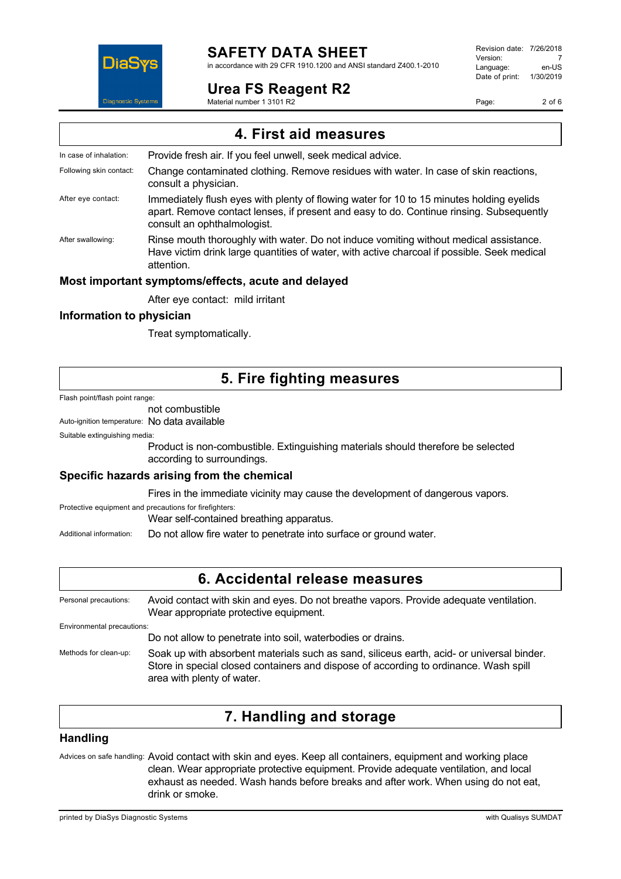

# **SAFETY DATA SHEET**

in accordance with 29 CFR 1910.1200 and ANSI standard Z400.1-2010

### **Urea FS Reagent R2**

Material number 1 3101 R2

Revision date: 7/26/2018 Version: 7<br>Language: en-LIS Language: Date of print: 1/30/2019

Page: 2 of 6

| 4. First aid measures    |                                                                                                                                                                                                                    |  |
|--------------------------|--------------------------------------------------------------------------------------------------------------------------------------------------------------------------------------------------------------------|--|
| In case of inhalation:   | Provide fresh air. If you feel unwell, seek medical advice.                                                                                                                                                        |  |
| Following skin contact:  | Change contaminated clothing. Remove residues with water. In case of skin reactions,<br>consult a physician.                                                                                                       |  |
| After eye contact:       | Immediately flush eyes with plenty of flowing water for 10 to 15 minutes holding eyelids<br>apart. Remove contact lenses, if present and easy to do. Continue rinsing. Subsequently<br>consult an ophthalmologist. |  |
| After swallowing:        | Rinse mouth thoroughly with water. Do not induce vomiting without medical assistance.<br>Have victim drink large quantities of water, with active charcoal if possible. Seek medical<br>attention.                 |  |
|                          | Most important symptoms/effects, acute and delayed                                                                                                                                                                 |  |
|                          | After eye contact: mild irritant                                                                                                                                                                                   |  |
| Information to physician |                                                                                                                                                                                                                    |  |

Treat symptomatically.

## **5. Fire fighting measures**

Flash point/flash point range:

not combustible

Auto-ignition temperature: No data available

Suitable extinguishing media:

Product is non-combustible. Extinguishing materials should therefore be selected according to surroundings.

### **Specific hazards arising from the chemical**

Fires in the immediate vicinity may cause the development of dangerous vapors.

Protective equipment and precautions for firefighters:

Wear self-contained breathing apparatus.

Additional information: Do not allow fire water to penetrate into surface or ground water.

## **6. Accidental release measures**

Personal precautions: Avoid contact with skin and eyes. Do not breathe vapors. Provide adequate ventilation. Wear appropriate protective equipment. Environmental precautions: Do not allow to penetrate into soil, waterbodies or drains. Methods for clean-up: Soak up with absorbent materials such as sand, siliceus earth, acid- or universal binder.

Store in special closed containers and dispose of according to ordinance. Wash spill area with plenty of water.

## **7. Handling and storage**

### **Handling**

Advices on safe handling: Avoid contact with skin and eyes. Keep all containers, equipment and working place clean. Wear appropriate protective equipment. Provide adequate ventilation, and local exhaust as needed. Wash hands before breaks and after work. When using do not eat, drink or smoke.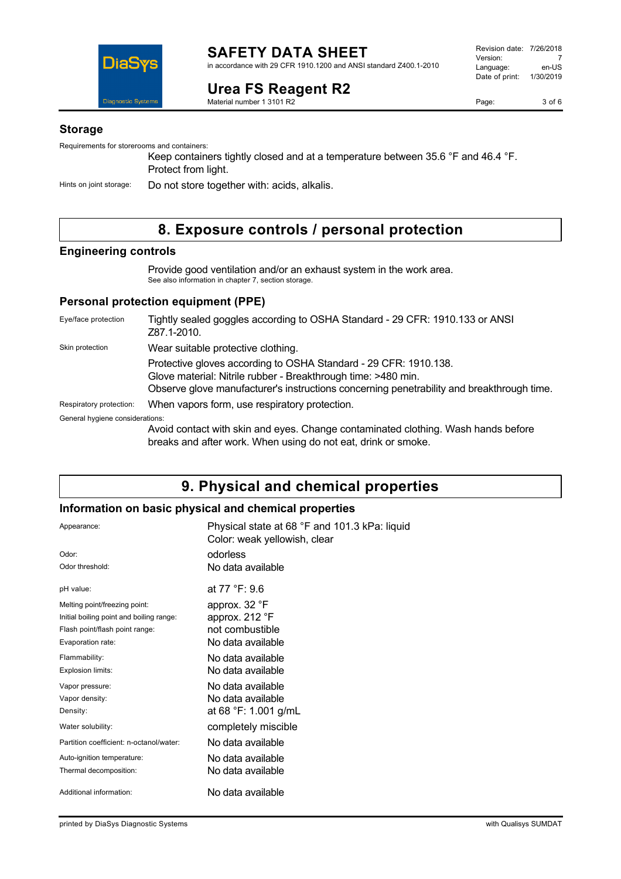

**SAFETY DATA SHEET** in accordance with 29 CFR 1910.1200 and ANSI standard Z400.1-2010

# **Urea FS Reagent R2**

Material number 1 3101 R2

Page: 3 of 6

### **Storage**

Requirements for storerooms and containers:

Keep containers tightly closed and at a temperature between 35.6 °F and 46.4 °F. Protect from light.

Hints on joint storage: Do not store together with: acids, alkalis.

## **8. Exposure controls / personal protection**

### **Engineering controls**

Provide good ventilation and/or an exhaust system in the work area. See also information in chapter 7, section storage.

### **Personal protection equipment (PPE)**

| Eye/face protection             | Tightly sealed goggles according to OSHA Standard - 29 CFR: 1910.133 or ANSI<br>Z87.1-2010.                                                                                                                                    |
|---------------------------------|--------------------------------------------------------------------------------------------------------------------------------------------------------------------------------------------------------------------------------|
| Skin protection                 | Wear suitable protective clothing.                                                                                                                                                                                             |
|                                 | Protective gloves according to OSHA Standard - 29 CFR: 1910.138.<br>Glove material: Nitrile rubber - Breakthrough time: >480 min.<br>Observe glove manufacturer's instructions concerning penetrability and breakthrough time. |
| Respiratory protection:         | When vapors form, use respiratory protection.                                                                                                                                                                                  |
| General hygiene considerations: |                                                                                                                                                                                                                                |
|                                 | Avoid contact with skin and eyes. Change contaminated clothing. Wash hands before<br>breaks and after work. When using do not eat, drink or smoke.                                                                             |

## **9. Physical and chemical properties**

### **Information on basic physical and chemical properties**

| Appearance:                              | Physical state at 68 °F and 101.3 kPa: liquid<br>Color: weak yellowish, clear |
|------------------------------------------|-------------------------------------------------------------------------------|
| Odor:                                    | odorless                                                                      |
| Odor threshold:                          | No data available                                                             |
| pH value:                                | at 77 °F: 9.6                                                                 |
| Melting point/freezing point:            | approx. 32 °F                                                                 |
| Initial boiling point and boiling range: | approx. 212 °F                                                                |
| Flash point/flash point range:           | not combustible                                                               |
| Evaporation rate:                        | No data available                                                             |
| Flammability:                            | No data available                                                             |
| Explosion limits:                        | No data available                                                             |
| Vapor pressure:                          | No data available                                                             |
| Vapor density:                           | No data available                                                             |
| Density:                                 | at 68 °F: 1.001 g/mL                                                          |
| Water solubility:                        | completely miscible                                                           |
| Partition coefficient: n-octanol/water:  | No data available                                                             |
| Auto-ignition temperature:               | No data available                                                             |
| Thermal decomposition:                   | No data available                                                             |
| Additional information:                  | No data available                                                             |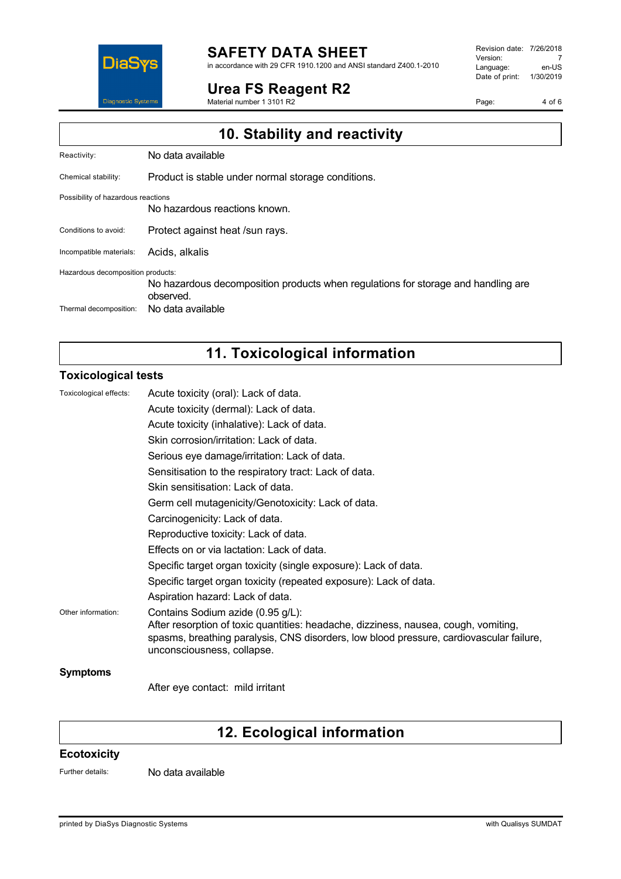

# **SAFETY DATA SHEET**

in accordance with 29 CFR 1910.1200 and ANSI standard Z400.1-2010

### **Urea FS Reagent R2**

Material number 1 3101 R2

Revision date: 7/26/2018 Version: 7<br>
Language: en-US Language: Date of print: 1/30/2019

Page: 4 of 6

| 10. Stability and reactivity       |                                                                                                |  |
|------------------------------------|------------------------------------------------------------------------------------------------|--|
| Reactivity:                        | No data available                                                                              |  |
| Chemical stability:                | Product is stable under normal storage conditions.                                             |  |
| Possibility of hazardous reactions | No hazardous reactions known.                                                                  |  |
| Conditions to avoid:               | Protect against heat /sun rays.                                                                |  |
| Incompatible materials:            | Acids, alkalis                                                                                 |  |
| Hazardous decomposition products:  | No hazardous decomposition products when regulations for storage and handling are<br>observed. |  |
| Thermal decomposition:             | No data available                                                                              |  |

# **11. Toxicological information**

### **Toxicological tests**

| Toxicological effects: | Acute toxicity (oral): Lack of data.                                                                                                                                                                                                              |
|------------------------|---------------------------------------------------------------------------------------------------------------------------------------------------------------------------------------------------------------------------------------------------|
|                        | Acute toxicity (dermal): Lack of data.                                                                                                                                                                                                            |
|                        | Acute toxicity (inhalative): Lack of data.                                                                                                                                                                                                        |
|                        | Skin corrosion/irritation: Lack of data.                                                                                                                                                                                                          |
|                        | Serious eye damage/irritation: Lack of data.                                                                                                                                                                                                      |
|                        | Sensitisation to the respiratory tract: Lack of data.                                                                                                                                                                                             |
|                        | Skin sensitisation: Lack of data.                                                                                                                                                                                                                 |
|                        | Germ cell mutagenicity/Genotoxicity: Lack of data.                                                                                                                                                                                                |
|                        | Carcinogenicity: Lack of data.                                                                                                                                                                                                                    |
|                        | Reproductive toxicity: Lack of data.                                                                                                                                                                                                              |
|                        | Effects on or via lactation: Lack of data.                                                                                                                                                                                                        |
|                        | Specific target organ toxicity (single exposure): Lack of data.                                                                                                                                                                                   |
|                        | Specific target organ toxicity (repeated exposure): Lack of data.                                                                                                                                                                                 |
|                        | Aspiration hazard: Lack of data.                                                                                                                                                                                                                  |
| Other information:     | Contains Sodium azide (0.95 g/L):<br>After resorption of toxic quantities: headache, dizziness, nausea, cough, vomiting,<br>spasms, breathing paralysis, CNS disorders, low blood pressure, cardiovascular failure,<br>unconsciousness, collapse. |
| <b>Symptoms</b>        |                                                                                                                                                                                                                                                   |
|                        | After eye contact: mild irritant                                                                                                                                                                                                                  |

# **12. Ecological information**

### **Ecotoxicity**

Further details: No data available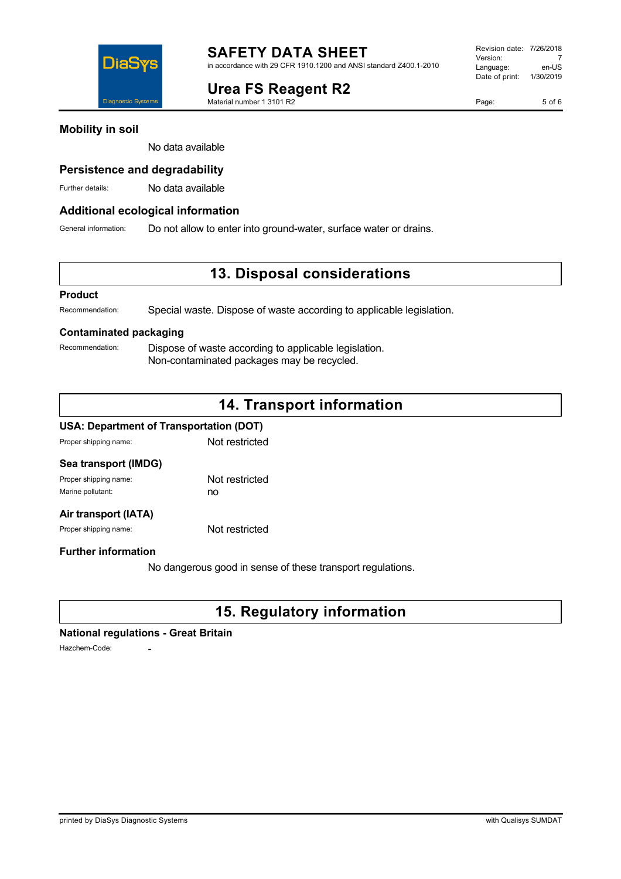**Urea FS Reagent R2**

Material number 1 3101 R2

### **Mobility in soil**

DiaS

iagnostic Syst

No data available

### **Persistence and degradability**

Further details: No data available

### **Additional ecological information**

General information: Do not allow to enter into ground-water, surface water or drains.

## **13. Disposal considerations**

### **Product**

Recommendation: Special waste. Dispose of waste according to applicable legislation.

### **Contaminated packaging**

Recommendation: Dispose of waste according to applicable legislation. Non-contaminated packages may be recycled.

## **14. Transport information**

### **USA: Department of Transportation (DOT)**

Proper shipping name: Not restricted

| Sea transport (IMDG)  |                |
|-----------------------|----------------|
| Proper shipping name: | Not restricted |
| Marine pollutant:     | no             |
|                       |                |

### **Air transport (IATA)**

Proper shipping name: Not restricted

### **Further information**

No dangerous good in sense of these transport regulations.

# **15. Regulatory information**

### **National regulations - Great Britain**

Hazchem-Code: